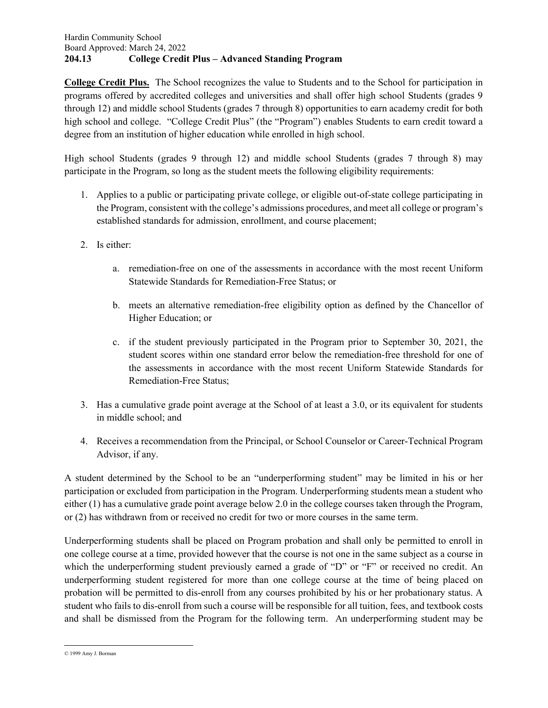### Hardin Community School Board Approved: March 24, 2022 204.13 College Credit Plus – Advanced Standing Program

College Credit Plus. The School recognizes the value to Students and to the School for participation in programs offered by accredited colleges and universities and shall offer high school Students (grades 9 through 12) and middle school Students (grades 7 through 8) opportunities to earn academy credit for both high school and college. "College Credit Plus" (the "Program") enables Students to earn credit toward a degree from an institution of higher education while enrolled in high school.

High school Students (grades 9 through 12) and middle school Students (grades 7 through 8) may participate in the Program, so long as the student meets the following eligibility requirements:

- 1. Applies to a public or participating private college, or eligible out-of-state college participating in the Program, consistent with the college's admissions procedures, and meet all college or program's established standards for admission, enrollment, and course placement;
- 2. Is either:
	- a. remediation-free on one of the assessments in accordance with the most recent Uniform Statewide Standards for Remediation-Free Status; or
	- b. meets an alternative remediation-free eligibility option as defined by the Chancellor of Higher Education; or
	- c. if the student previously participated in the Program prior to September 30, 2021, the student scores within one standard error below the remediation-free threshold for one of the assessments in accordance with the most recent Uniform Statewide Standards for Remediation-Free Status;
- 3. Has a cumulative grade point average at the School of at least a 3.0, or its equivalent for students in middle school; and
- 4. Receives a recommendation from the Principal, or School Counselor or Career-Technical Program Advisor, if any.

A student determined by the School to be an "underperforming student" may be limited in his or her participation or excluded from participation in the Program. Underperforming students mean a student who either (1) has a cumulative grade point average below 2.0 in the college courses taken through the Program, or (2) has withdrawn from or received no credit for two or more courses in the same term.

Underperforming students shall be placed on Program probation and shall only be permitted to enroll in one college course at a time, provided however that the course is not one in the same subject as a course in which the underperforming student previously earned a grade of "D" or "F" or received no credit. An underperforming student registered for more than one college course at the time of being placed on probation will be permitted to dis-enroll from any courses prohibited by his or her probationary status. A student who fails to dis-enroll from such a course will be responsible for all tuition, fees, and textbook costs and shall be dismissed from the Program for the following term. An underperforming student may be

<sup>© 1999</sup> Amy J. Borman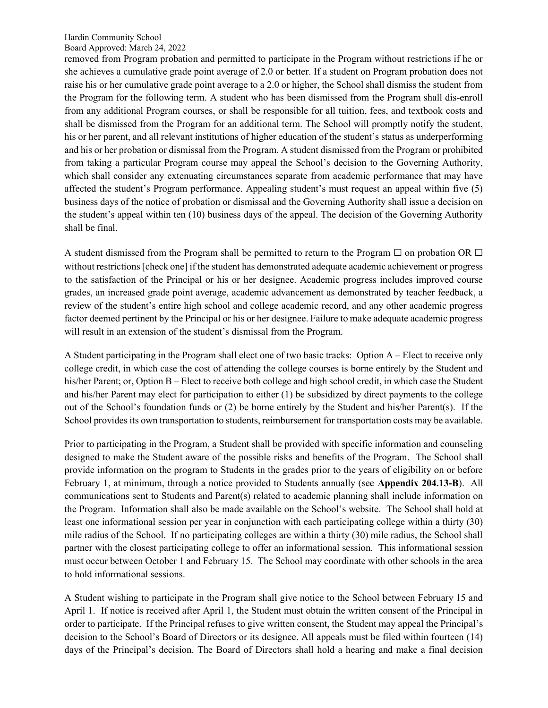Board Approved: March 24, 2022

removed from Program probation and permitted to participate in the Program without restrictions if he or she achieves a cumulative grade point average of 2.0 or better. If a student on Program probation does not raise his or her cumulative grade point average to a 2.0 or higher, the School shall dismiss the student from the Program for the following term. A student who has been dismissed from the Program shall dis-enroll from any additional Program courses, or shall be responsible for all tuition, fees, and textbook costs and shall be dismissed from the Program for an additional term. The School will promptly notify the student, his or her parent, and all relevant institutions of higher education of the student's status as underperforming and his or her probation or dismissal from the Program. A student dismissed from the Program or prohibited from taking a particular Program course may appeal the School's decision to the Governing Authority, which shall consider any extenuating circumstances separate from academic performance that may have affected the student's Program performance. Appealing student's must request an appeal within five (5) business days of the notice of probation or dismissal and the Governing Authority shall issue a decision on the student's appeal within ten (10) business days of the appeal. The decision of the Governing Authority shall be final.

A student dismissed from the Program shall be permitted to return to the Program  $\Box$  on probation OR  $\Box$ without restrictions [check one] if the student has demonstrated adequate academic achievement or progress to the satisfaction of the Principal or his or her designee. Academic progress includes improved course grades, an increased grade point average, academic advancement as demonstrated by teacher feedback, a review of the student's entire high school and college academic record, and any other academic progress factor deemed pertinent by the Principal or his or her designee. Failure to make adequate academic progress will result in an extension of the student's dismissal from the Program.

A Student participating in the Program shall elect one of two basic tracks: Option A – Elect to receive only college credit, in which case the cost of attending the college courses is borne entirely by the Student and his/her Parent; or, Option B – Elect to receive both college and high school credit, in which case the Student and his/her Parent may elect for participation to either (1) be subsidized by direct payments to the college out of the School's foundation funds or (2) be borne entirely by the Student and his/her Parent(s). If the School provides its own transportation to students, reimbursement for transportation costs may be available.

Prior to participating in the Program, a Student shall be provided with specific information and counseling designed to make the Student aware of the possible risks and benefits of the Program. The School shall provide information on the program to Students in the grades prior to the years of eligibility on or before February 1, at minimum, through a notice provided to Students annually (see Appendix 204.13-B). All communications sent to Students and Parent(s) related to academic planning shall include information on the Program. Information shall also be made available on the School's website. The School shall hold at least one informational session per year in conjunction with each participating college within a thirty (30) mile radius of the School. If no participating colleges are within a thirty (30) mile radius, the School shall partner with the closest participating college to offer an informational session. This informational session must occur between October 1 and February 15. The School may coordinate with other schools in the area to hold informational sessions.

A Student wishing to participate in the Program shall give notice to the School between February 15 and April 1. If notice is received after April 1, the Student must obtain the written consent of the Principal in order to participate. If the Principal refuses to give written consent, the Student may appeal the Principal's decision to the School's Board of Directors or its designee. All appeals must be filed within fourteen (14) days of the Principal's decision. The Board of Directors shall hold a hearing and make a final decision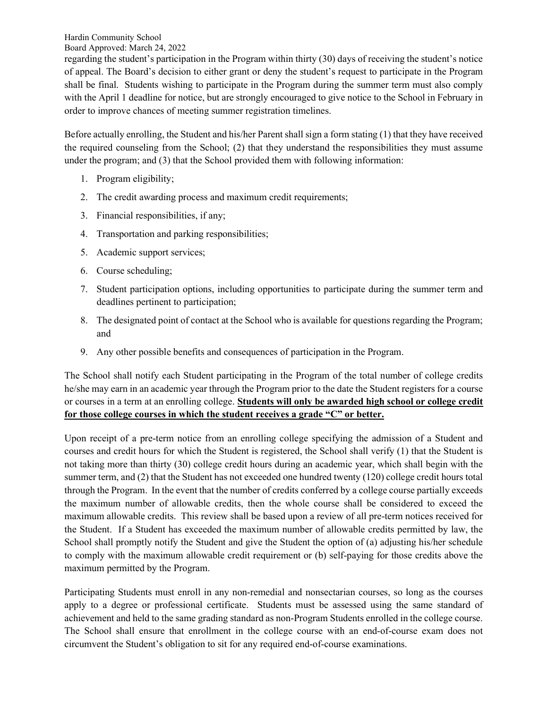Board Approved: March 24, 2022

regarding the student's participation in the Program within thirty (30) days of receiving the student's notice of appeal. The Board's decision to either grant or deny the student's request to participate in the Program shall be final. Students wishing to participate in the Program during the summer term must also comply with the April 1 deadline for notice, but are strongly encouraged to give notice to the School in February in order to improve chances of meeting summer registration timelines.

Before actually enrolling, the Student and his/her Parent shall sign a form stating (1) that they have received the required counseling from the School; (2) that they understand the responsibilities they must assume under the program; and (3) that the School provided them with following information:

- 1. Program eligibility;
- 2. The credit awarding process and maximum credit requirements;
- 3. Financial responsibilities, if any;
- 4. Transportation and parking responsibilities;
- 5. Academic support services;
- 6. Course scheduling;
- 7. Student participation options, including opportunities to participate during the summer term and deadlines pertinent to participation;
- 8. The designated point of contact at the School who is available for questions regarding the Program; and
- 9. Any other possible benefits and consequences of participation in the Program.

The School shall notify each Student participating in the Program of the total number of college credits he/she may earn in an academic year through the Program prior to the date the Student registers for a course or courses in a term at an enrolling college. Students will only be awarded high school or college credit for those college courses in which the student receives a grade "C" or better.

Upon receipt of a pre-term notice from an enrolling college specifying the admission of a Student and courses and credit hours for which the Student is registered, the School shall verify (1) that the Student is not taking more than thirty (30) college credit hours during an academic year, which shall begin with the summer term, and (2) that the Student has not exceeded one hundred twenty (120) college credit hours total through the Program. In the event that the number of credits conferred by a college course partially exceeds the maximum number of allowable credits, then the whole course shall be considered to exceed the maximum allowable credits. This review shall be based upon a review of all pre-term notices received for the Student. If a Student has exceeded the maximum number of allowable credits permitted by law, the School shall promptly notify the Student and give the Student the option of (a) adjusting his/her schedule to comply with the maximum allowable credit requirement or (b) self-paying for those credits above the maximum permitted by the Program.

Participating Students must enroll in any non-remedial and nonsectarian courses, so long as the courses apply to a degree or professional certificate. Students must be assessed using the same standard of achievement and held to the same grading standard as non-Program Students enrolled in the college course. The School shall ensure that enrollment in the college course with an end-of-course exam does not circumvent the Student's obligation to sit for any required end-of-course examinations.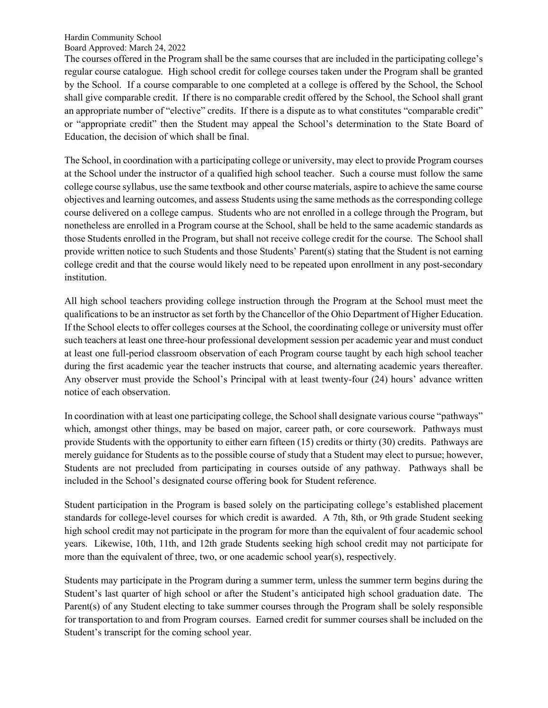#### Hardin Community School Board Approved: March 24, 2022

The courses offered in the Program shall be the same courses that are included in the participating college's regular course catalogue. High school credit for college courses taken under the Program shall be granted by the School. If a course comparable to one completed at a college is offered by the School, the School shall give comparable credit. If there is no comparable credit offered by the School, the School shall grant an appropriate number of "elective" credits. If there is a dispute as to what constitutes "comparable credit" or "appropriate credit" then the Student may appeal the School's determination to the State Board of Education, the decision of which shall be final.

The School, in coordination with a participating college or university, may elect to provide Program courses at the School under the instructor of a qualified high school teacher. Such a course must follow the same college course syllabus, use the same textbook and other course materials, aspire to achieve the same course objectives and learning outcomes, and assess Students using the same methods as the corresponding college course delivered on a college campus. Students who are not enrolled in a college through the Program, but nonetheless are enrolled in a Program course at the School, shall be held to the same academic standards as those Students enrolled in the Program, but shall not receive college credit for the course. The School shall provide written notice to such Students and those Students' Parent(s) stating that the Student is not earning college credit and that the course would likely need to be repeated upon enrollment in any post-secondary institution.

All high school teachers providing college instruction through the Program at the School must meet the qualifications to be an instructor as set forth by the Chancellor of the Ohio Department of Higher Education. If the School elects to offer colleges courses at the School, the coordinating college or university must offer such teachers at least one three-hour professional development session per academic year and must conduct at least one full-period classroom observation of each Program course taught by each high school teacher during the first academic year the teacher instructs that course, and alternating academic years thereafter. Any observer must provide the School's Principal with at least twenty-four (24) hours' advance written notice of each observation.

In coordination with at least one participating college, the School shall designate various course "pathways" which, amongst other things, may be based on major, career path, or core coursework. Pathways must provide Students with the opportunity to either earn fifteen (15) credits or thirty (30) credits. Pathways are merely guidance for Students as to the possible course of study that a Student may elect to pursue; however, Students are not precluded from participating in courses outside of any pathway. Pathways shall be included in the School's designated course offering book for Student reference.

Student participation in the Program is based solely on the participating college's established placement standards for college-level courses for which credit is awarded. A 7th, 8th, or 9th grade Student seeking high school credit may not participate in the program for more than the equivalent of four academic school years. Likewise, 10th, 11th, and 12th grade Students seeking high school credit may not participate for more than the equivalent of three, two, or one academic school year(s), respectively.

Students may participate in the Program during a summer term, unless the summer term begins during the Student's last quarter of high school or after the Student's anticipated high school graduation date. The Parent(s) of any Student electing to take summer courses through the Program shall be solely responsible for transportation to and from Program courses. Earned credit for summer courses shall be included on the Student's transcript for the coming school year.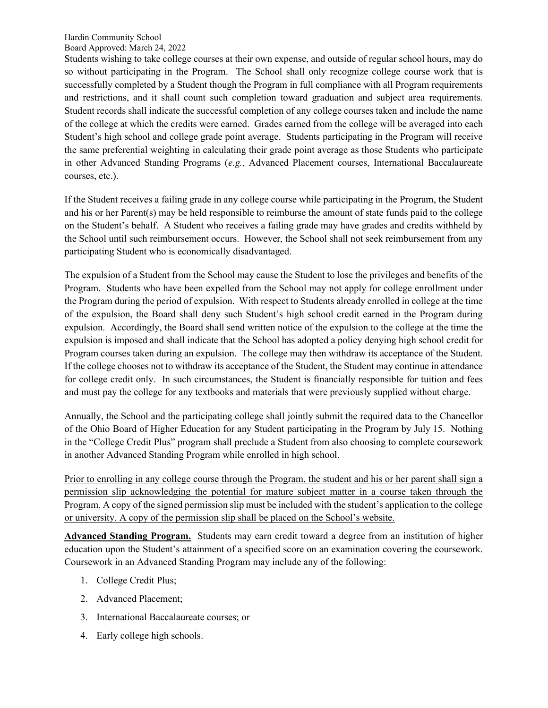Board Approved: March 24, 2022

Students wishing to take college courses at their own expense, and outside of regular school hours, may do so without participating in the Program. The School shall only recognize college course work that is successfully completed by a Student though the Program in full compliance with all Program requirements and restrictions, and it shall count such completion toward graduation and subject area requirements. Student records shall indicate the successful completion of any college courses taken and include the name of the college at which the credits were earned. Grades earned from the college will be averaged into each Student's high school and college grade point average. Students participating in the Program will receive the same preferential weighting in calculating their grade point average as those Students who participate in other Advanced Standing Programs (e.g., Advanced Placement courses, International Baccalaureate courses, etc.).

If the Student receives a failing grade in any college course while participating in the Program, the Student and his or her Parent(s) may be held responsible to reimburse the amount of state funds paid to the college on the Student's behalf. A Student who receives a failing grade may have grades and credits withheld by the School until such reimbursement occurs. However, the School shall not seek reimbursement from any participating Student who is economically disadvantaged.

The expulsion of a Student from the School may cause the Student to lose the privileges and benefits of the Program. Students who have been expelled from the School may not apply for college enrollment under the Program during the period of expulsion. With respect to Students already enrolled in college at the time of the expulsion, the Board shall deny such Student's high school credit earned in the Program during expulsion. Accordingly, the Board shall send written notice of the expulsion to the college at the time the expulsion is imposed and shall indicate that the School has adopted a policy denying high school credit for Program courses taken during an expulsion. The college may then withdraw its acceptance of the Student. If the college chooses not to withdraw its acceptance of the Student, the Student may continue in attendance for college credit only. In such circumstances, the Student is financially responsible for tuition and fees and must pay the college for any textbooks and materials that were previously supplied without charge.

Annually, the School and the participating college shall jointly submit the required data to the Chancellor of the Ohio Board of Higher Education for any Student participating in the Program by July 15. Nothing in the "College Credit Plus" program shall preclude a Student from also choosing to complete coursework in another Advanced Standing Program while enrolled in high school.

Prior to enrolling in any college course through the Program, the student and his or her parent shall sign a permission slip acknowledging the potential for mature subject matter in a course taken through the Program. A copy of the signed permission slip must be included with the student's application to the college or university. A copy of the permission slip shall be placed on the School's website.

Advanced Standing Program. Students may earn credit toward a degree from an institution of higher education upon the Student's attainment of a specified score on an examination covering the coursework. Coursework in an Advanced Standing Program may include any of the following:

- 1. College Credit Plus;
- 2. Advanced Placement;
- 3. International Baccalaureate courses; or
- 4. Early college high schools.